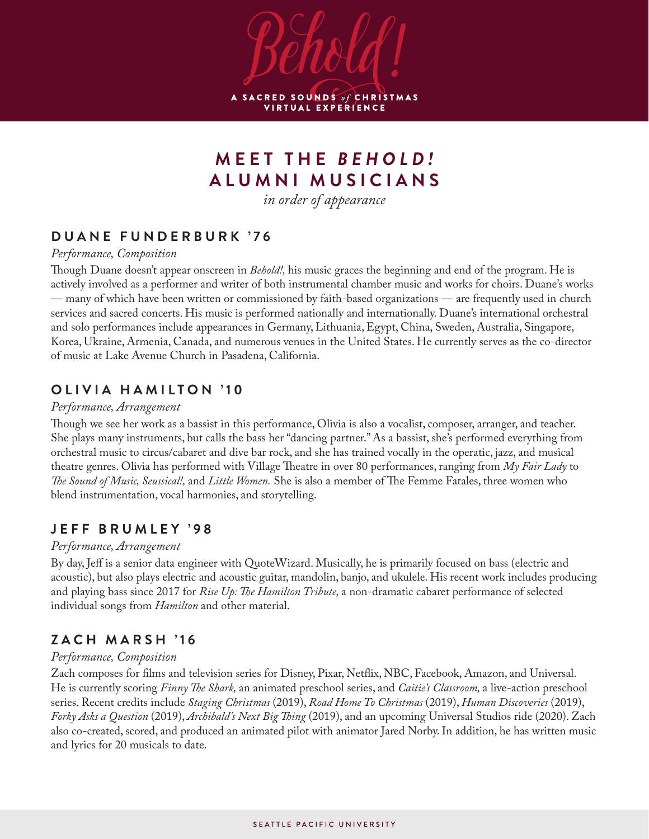

# **MEET THE** *B E H O L D !*  **ALUMNI MUSICIANS**

*in order of appearance*

# **DUANE FUNDERBURK '76**

#### *Performance, Composition*

Though Duane doesn't appear onscreen in *Behold!,* his music graces the beginning and end of the program. He is actively involved as a performer and writer of both instrumental chamber music and works for choirs. Duane's works — many of which have been written or commissioned by faith-based organizations — are frequently used in church services and sacred concerts. His music is performed nationally and internationally. Duane's international orchestral and solo performances include appearances in Germany, Lithuania, Egypt, China, Sweden, Australia, Singapore, Korea, Ukraine, Armenia, Canada, and numerous venues in the United States. He currently serves as the co-director of music at Lake Avenue Church in Pasadena, California.

# **OLIVIA HAMILTON '10**

#### *Performance, Arrangement*

Though we see her work as a bassist in this performance, Olivia is also a vocalist, composer, arranger, and teacher. She plays many instruments, but calls the bass her "dancing partner." As a bassist, she's performed everything from orchestral music to circus/cabaret and dive bar rock, and she has trained vocally in the operatic, jazz, and musical theatre genres. Olivia has performed with Village Theatre in over 80 performances, ranging from *My Fair Lady* to *The Sound of Music, Seussical!,* and *Little Women.* She is also a member of The Femme Fatales, three women who blend instrumentation, vocal harmonies, and storytelling.

# **JEFF BRUMLEY '98**

#### *Performance, Arrangement*

By day, Jeff is a senior data engineer with QuoteWizard. Musically, he is primarily focused on bass (electric and acoustic), but also plays electric and acoustic guitar, mandolin, banjo, and ukulele. His recent work includes producing and playing bass since 2017 for *Rise Up: The Hamilton Tribute,* a non-dramatic cabaret performance of selected individual songs from *Hamilton* and other material.

# **Z A C H M A R S H ' 1 6**

#### *Performance, Composition*

Zach composes for films and television series for Disney, Pixar, Netflix, NBC, Facebook, Amazon, and Universal. He is currently scoring *Finny The Shark,* an animated preschool series, and *Caitie's Classroom,* a live-action preschool series. Recent credits include *Staging Christmas* (2019), *Road Home To Christmas* (2019), *Human Discoveries* (2019), *Forky Asks a Question* (2019), *Archibald's Next Big Thing* (2019), and an upcoming Universal Studios ride (2020). Zach also co-created, scored, and produced an animated pilot with animator Jared Norby. In addition, he has written music and lyrics for 20 musicals to date.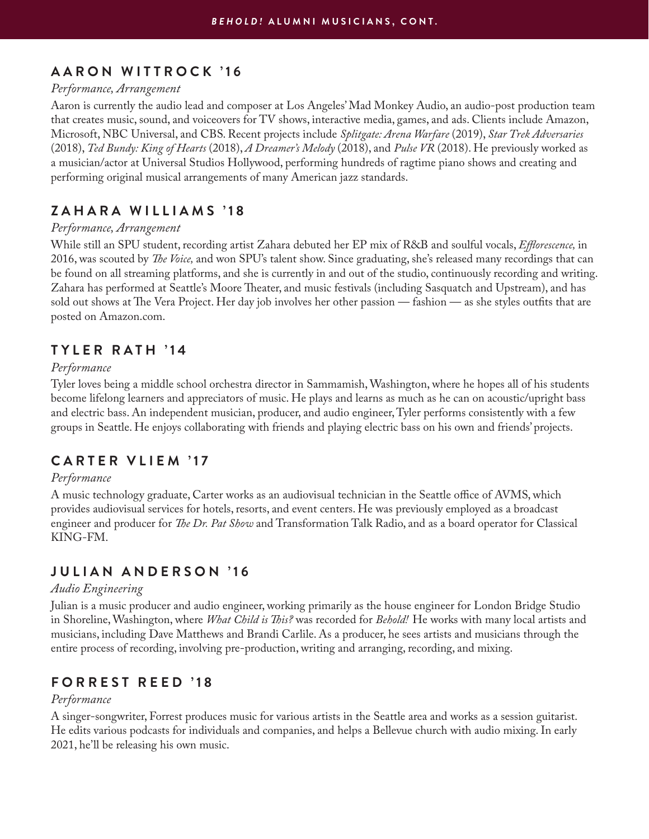# **A A R O N W I T T R O C K ' 1 6**

#### *Performance, Arrangement*

Aaron is currently the audio lead and composer at Los Angeles' Mad Monkey Audio, an audio-post production team that creates music, sound, and voiceovers for TV shows, interactive media, games, and ads. Clients include Amazon, Microsoft, NBC Universal, and CBS. Recent projects include *Splitgate: Arena Warfare* (2019), *Star Trek Adversaries* (2018), *Ted Bundy: King of Hearts* (2018), *A Dreamer's Melody* (2018), and *Pulse VR* (2018). He previously worked as a musician/actor at Universal Studios Hollywood, performing hundreds of ragtime piano shows and creating and performing original musical arrangements of many American jazz standards.

# **Z A H A R A W I L L I A M S ' 1 8**

#### *Performance, Arrangement*

While still an SPU student, recording artist Zahara debuted her EP mix of R&B and soulful vocals, *Efflorescence,* in 2016, was scouted by *The Voice,* and won SPU's talent show. Since graduating, she's released many recordings that can be found on all streaming platforms, and she is currently in and out of the studio, continuously recording and writing. Zahara has performed at Seattle's Moore Theater, and music festivals (including Sasquatch and Upstream), and has sold out shows at The Vera Project. Her day job involves her other passion — fashion — as she styles outfits that are posted on Amazon.com.

# **T Y L E R R A T H ' 1 4**

#### *Performance*

Tyler loves being a middle school orchestra director in Sammamish, Washington, where he hopes all of his students become lifelong learners and appreciators of music. He plays and learns as much as he can on acoustic/upright bass and electric bass. An independent musician, producer, and audio engineer, Tyler performs consistently with a few groups in Seattle. He enjoys collaborating with friends and playing electric bass on his own and friends' projects.

# **CARTER VLIEM '17**

#### *Performance*

A music technology graduate, Carter works as an audiovisual technician in the Seattle office of AVMS, which provides audiovisual services for hotels, resorts, and event centers. He was previously employed as a broadcast engineer and producer for *The Dr. Pat Show* and Transformation Talk Radio, and as a board operator for Classical KING-FM.

# **JULIAN ANDERSON '16**

#### *Audio Engineering*

Julian is a music producer and audio engineer, working primarily as the house engineer for London Bridge Studio in Shoreline, Washington, where *What Child is This?* was recorded for *Behold!* He works with many local artists and musicians, including Dave Matthews and Brandi Carlile. As a producer, he sees artists and musicians through the entire process of recording, involving pre-production, writing and arranging, recording, and mixing.

# **FORREST REED '18**

#### *Performance*

A singer-songwriter, Forrest produces music for various artists in the Seattle area and works as a session guitarist. He edits various podcasts for individuals and companies, and helps a Bellevue church with audio mixing. In early 2021, he'll be releasing his own music.